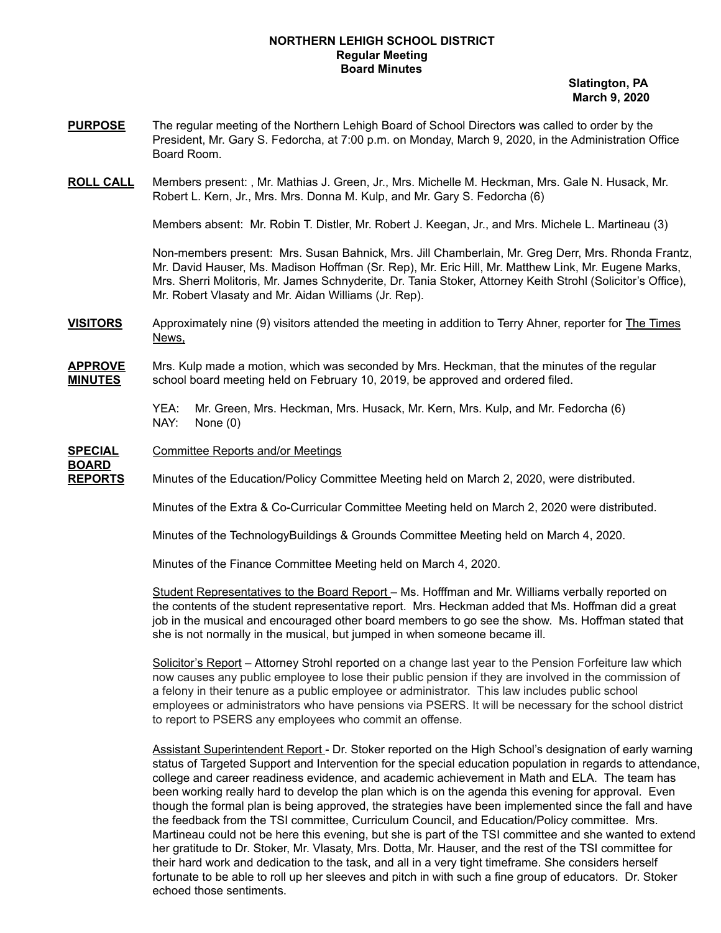#### **NORTHERN LEHIGH SCHOOL DISTRICT Regular Meeting Board Minutes**

**Slatington, PA March 9, 2020**

- **PURPOSE** The regular meeting of the Northern Lehigh Board of School Directors was called to order by the President, Mr. Gary S. Fedorcha, at 7:00 p.m. on Monday, March 9, 2020, in the Administration Office Board Room.
- **ROLL CALL** Members present: , Mr. Mathias J. Green, Jr., Mrs. Michelle M. Heckman, Mrs. Gale N. Husack, Mr. Robert L. Kern, Jr., Mrs. Mrs. Donna M. Kulp, and Mr. Gary S. Fedorcha (6)

Members absent: Mr. Robin T. Distler, Mr. Robert J. Keegan, Jr., and Mrs. Michele L. Martineau (3)

Non-members present: Mrs. Susan Bahnick, Mrs. Jill Chamberlain, Mr. Greg Derr, Mrs. Rhonda Frantz, Mr. David Hauser, Ms. Madison Hoffman (Sr. Rep), Mr. Eric Hill, Mr. Matthew Link, Mr. Eugene Marks, Mrs. Sherri Molitoris, Mr. James Schnyderite, Dr. Tania Stoker, Attorney Keith Strohl (Solicitor's Office), Mr. Robert Vlasaty and Mr. Aidan Williams (Jr. Rep).

- **VISITORS** Approximately nine (9) visitors attended the meeting in addition to Terry Ahner, reporter for The Times News,
- **APPROVE** Mrs. Kulp made a motion, which was seconded by Mrs. Heckman, that the minutes of the regular **MINUTES** school board meeting held on February 10, 2019, be approved and ordered filed.

YEA: Mr. Green, Mrs. Heckman, Mrs. Husack, Mr. Kern, Mrs. Kulp, and Mr. Fedorcha (6) NAY: None (0)

**SPECIAL** Committee Reports and/or Meetings **BOARD**

**REPORTS** Minutes of the Education/Policy Committee Meeting held on March 2, 2020, were distributed.

Minutes of the Extra & Co-Curricular Committee Meeting held on March 2, 2020 were distributed.

Minutes of the TechnologyBuildings & Grounds Committee Meeting held on March 4, 2020.

Minutes of the Finance Committee Meeting held on March 4, 2020.

Student Representatives to the Board Report – Ms. Hofffman and Mr. Williams verbally reported on the contents of the student representative report. Mrs. Heckman added that Ms. Hoffman did a great job in the musical and encouraged other board members to go see the show. Ms. Hoffman stated that she is not normally in the musical, but jumped in when someone became ill.

Solicitor's Report – Attorney Strohl reported on a change last year to the Pension Forfeiture law which now causes any public employee to lose their public pension if they are involved in the commission of a felony in their tenure as a public employee or administrator. This law includes public school employees or administrators who have pensions via PSERS. It will be necessary for the school district to report to PSERS any employees who commit an offense.

Assistant Superintendent Report - Dr. Stoker reported on the High School's designation of early warning status of Targeted Support and Intervention for the special education population in regards to attendance, college and career readiness evidence, and academic achievement in Math and ELA. The team has been working really hard to develop the plan which is on the agenda this evening for approval. Even though the formal plan is being approved, the strategies have been implemented since the fall and have the feedback from the TSI committee, Curriculum Council, and Education/Policy committee. Mrs. Martineau could not be here this evening, but she is part of the TSI committee and she wanted to extend her gratitude to Dr. Stoker, Mr. Vlasaty, Mrs. Dotta, Mr. Hauser, and the rest of the TSI committee for their hard work and dedication to the task, and all in a very tight timeframe. She considers herself fortunate to be able to roll up her sleeves and pitch in with such a fine group of educators. Dr. Stoker echoed those sentiments.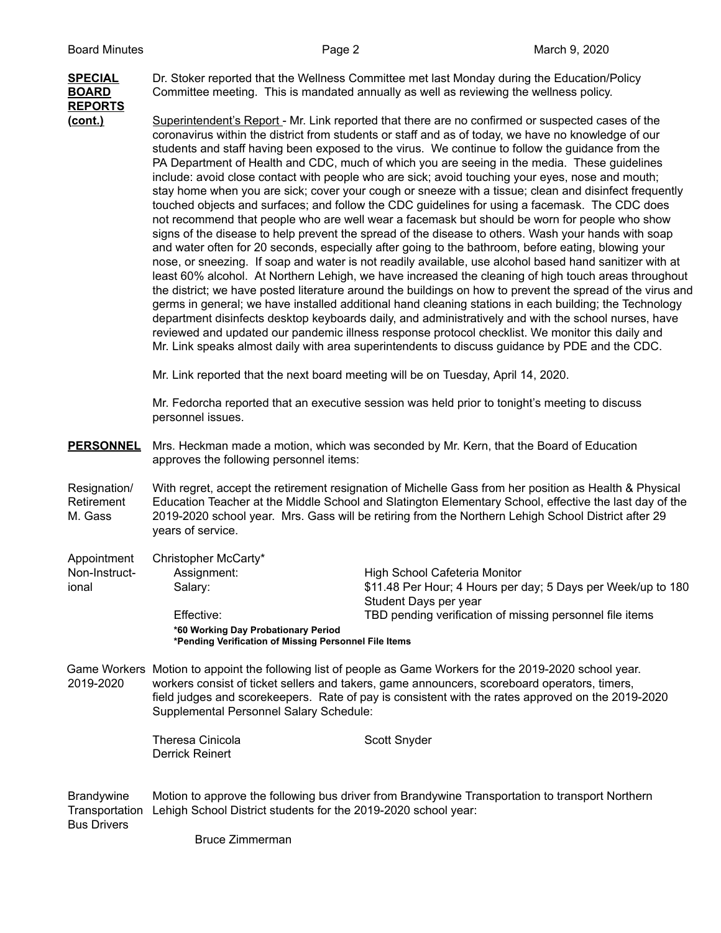# **REPORTS**

**SPECIAL** Dr. Stoker reported that the Wellness Committee met last Monday during the Education/Policy **BOARD** Committee meeting. This is mandated annually as well as reviewing the wellness policy.

**(cont.)** Superintendent's Report - Mr. Link reported that there are no confirmed or suspected cases of the coronavirus within the district from students or staff and as of today, we have no knowledge of our students and staff having been exposed to the virus. We continue to follow the guidance from the PA Department of Health and CDC, much of which you are seeing in the media. These guidelines include: avoid close contact with people who are sick; avoid touching your eyes, nose and mouth; stay home when you are sick; cover your cough or sneeze with a tissue; clean and disinfect frequently touched objects and surfaces; and follow the CDC guidelines for using a facemask. The CDC does not recommend that people who are well wear a facemask but should be worn for people who show signs of the disease to help prevent the spread of the disease to others. Wash your hands with soap and water often for 20 seconds, especially after going to the bathroom, before eating, blowing your nose, or sneezing. If soap and water is not readily available, use alcohol based hand sanitizer with at least 60% alcohol. At Northern Lehigh, we have increased the cleaning of high touch areas throughout the district; we have posted literature around the buildings on how to prevent the spread of the virus and germs in general; we have installed additional hand cleaning stations in each building; the Technology department disinfects desktop keyboards daily, and administratively and with the school nurses, have reviewed and updated our pandemic illness response protocol checklist. We monitor this daily and Mr. Link speaks almost daily with area superintendents to discuss guidance by PDE and the CDC.

Mr. Link reported that the next board meeting will be on Tuesday, April 14, 2020.

Mr. Fedorcha reported that an executive session was held prior to tonight's meeting to discuss personnel issues.

- **PERSONNEL** Mrs. Heckman made a motion, which was seconded by Mr. Kern, that the Board of Education approves the following personnel items:
- Resignation/ With regret, accept the retirement resignation of Michelle Gass from her position as Health & Physical Retirement Education Teacher at the Middle School and Slatington Elementary School, effective the last day of the M. Gass 2019-2020 school year. Mrs. Gass will be retiring from the Northern Lehigh School District after 29 years of service.
- Appointment Christopher McCarty\* Non-Instruct- Assignment: High School Cafeteria Monitor ional Salary: \$11.48 Per Hour; 4 Hours per day; 5 Days per Week/up to 180 Student Days per year Effective: TBD pending verification of missing personnel file items **\*60 Working Day Probationary Period \*Pending Verification of Missing Personnel File Items**
- Game Workers Motion to appoint the following list of people as Game Workers for the 2019-2020 school year. 2019-2020 workers consist of ticket sellers and takers, game announcers, scoreboard operators, timers, field judges and scorekeepers. Rate of pay is consistent with the rates approved on the 2019-2020 Supplemental Personnel Salary Schedule:

Theresa Cinicola Scott Snyder Derrick Reinert

Brandywine Motion to approve the following bus driver from Brandywine Transportation to transport Northern Transportation Lehigh School District students for the 2019-2020 school year: Bus Drivers

Bruce Zimmerman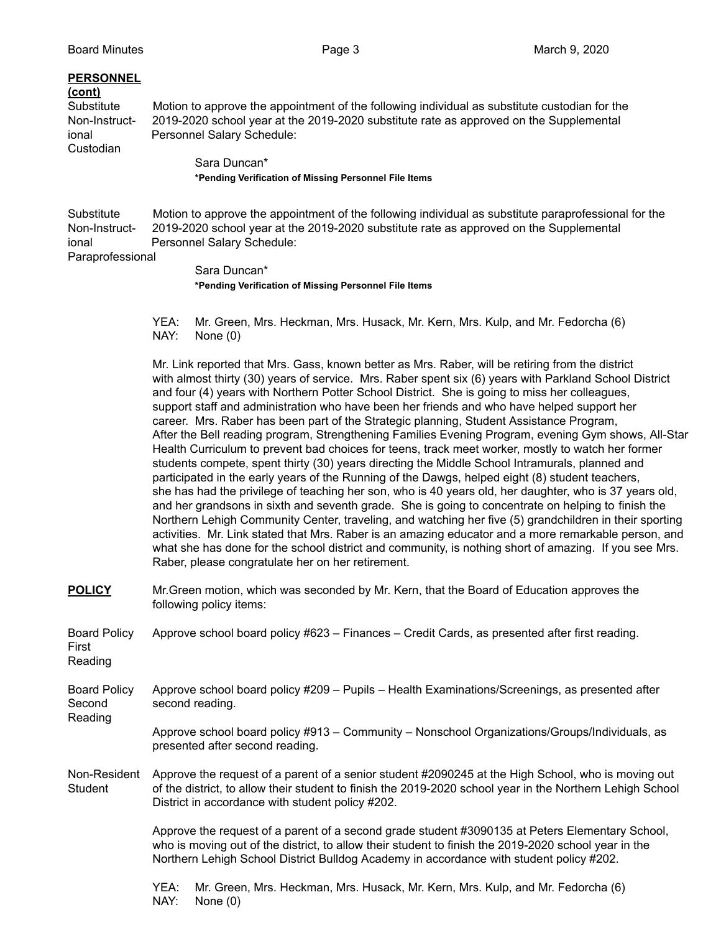### **PERSONNEL**

**(cont)**

Custodian

Substitute Motion to approve the appointment of the following individual as substitute custodian for the Non-Instruct- 2019-2020 school year at the 2019-2020 substitute rate as approved on the Supplemental ional Personnel Salary Schedule:

> Sara Duncan\* **\*Pending Verification of Missing Personnel File Items**

Substitute Motion to approve the appointment of the following individual as substitute paraprofessional for the Non-Instruct- 2019-2020 school year at the 2019-2020 substitute rate as approved on the Supplemental ional Personnel Salary Schedule:

## Paraprofessional

Sara Duncan\* **\*Pending Verification of Missing Personnel File Items**

YEA: Mr. Green, Mrs. Heckman, Mrs. Husack, Mr. Kern, Mrs. Kulp, and Mr. Fedorcha (6) NAY: None (0)

Mr. Link reported that Mrs. Gass, known better as Mrs. Raber, will be retiring from the district with almost thirty (30) years of service. Mrs. Raber spent six (6) years with Parkland School District and four (4) years with Northern Potter School District. She is going to miss her colleagues, support staff and administration who have been her friends and who have helped support her career. Mrs. Raber has been part of the Strategic planning, Student Assistance Program, After the Bell reading program, Strengthening Families Evening Program, evening Gym shows, All-Star Health Curriculum to prevent bad choices for teens, track meet worker, mostly to watch her former students compete, spent thirty (30) years directing the Middle School Intramurals, planned and participated in the early years of the Running of the Dawgs, helped eight (8) student teachers, she has had the privilege of teaching her son, who is 40 years old, her daughter, who is 37 years old, and her grandsons in sixth and seventh grade. She is going to concentrate on helping to finish the Northern Lehigh Community Center, traveling, and watching her five (5) grandchildren in their sporting activities. Mr. Link stated that Mrs. Raber is an amazing educator and a more remarkable person, and what she has done for the school district and community, is nothing short of amazing. If you see Mrs. Raber, please congratulate her on her retirement.

**POLICY** Mr.Green motion, which was seconded by Mr. Kern, that the Board of Education approves the following policy items:

Board Policy Approve school board policy #623 – Finances – Credit Cards, as presented after first reading.

First Reading

- Board Policy Approve school board policy #209 Pupils Health Examinations/Screenings, as presented after Second second reading.
- Reading Approve school board policy #913 – Community – Nonschool Organizations/Groups/Individuals, as presented after second reading.
- Non-Resident Approve the request of a parent of a senior student #2090245 at the High School, who is moving out Student of the district, to allow their student to finish the 2019-2020 school year in the Northern Lehigh School District in accordance with student policy #202.

Approve the request of a parent of a second grade student #3090135 at Peters Elementary School, who is moving out of the district, to allow their student to finish the 2019-2020 school year in the Northern Lehigh School District Bulldog Academy in accordance with student policy #202.

YEA: Mr. Green, Mrs. Heckman, Mrs. Husack, Mr. Kern, Mrs. Kulp, and Mr. Fedorcha (6) NAY: None (0)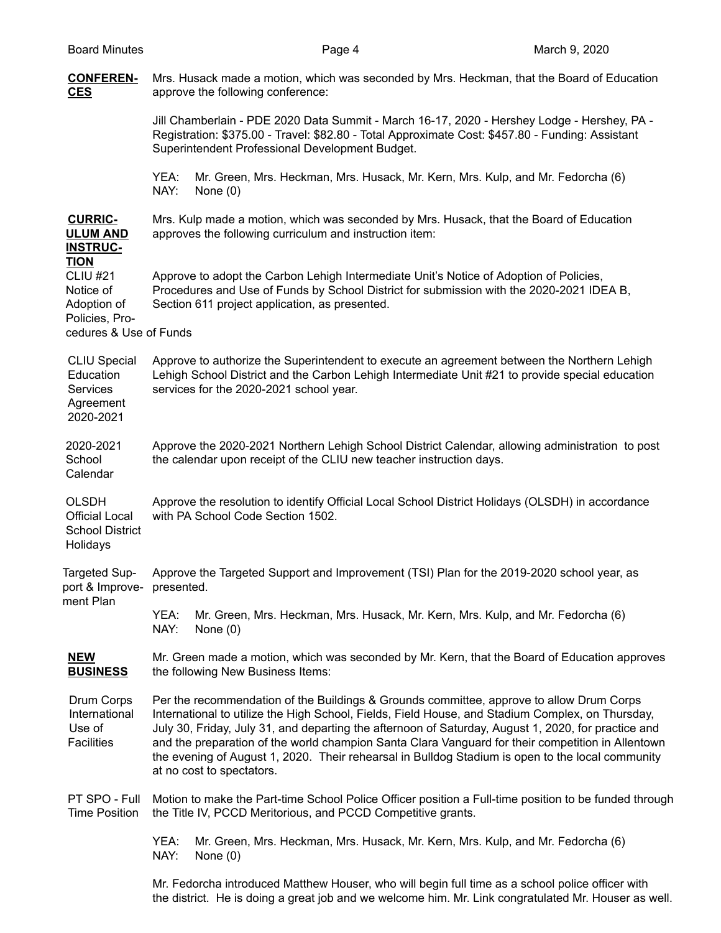# **CONFEREN-** Mrs. Husack made a motion, which was seconded by Mrs. Heckman, that the Board of Education **CES** approve the following conference:

Jill Chamberlain - PDE 2020 Data Summit - March 16-17, 2020 - Hershey Lodge - Hershey, PA - Registration: \$375.00 - Travel: \$82.80 - Total Approximate Cost: \$457.80 - Funding: Assistant Superintendent Professional Development Budget.

YEA: Mr. Green, Mrs. Heckman, Mrs. Husack, Mr. Kern, Mrs. Kulp, and Mr. Fedorcha (6) NAY: None (0)

**CURRIC-** Mrs. Kulp made a motion, which was seconded by Mrs. Husack, that the Board of Education **ULUM AND** approves the following curriculum and instruction item:

#### **INSTRUC-TION**

CLIU #21 Approve to adopt the Carbon Lehigh Intermediate Unit's Notice of Adoption of Policies, Notice of Procedures and Use of Funds by School District for submission with the 2020-2021 IDEA B, Adoption of Section 611 project application, as presented.

Policies, Procedures & Use of Funds

CLIU Special Approve to authorize the Superintendent to execute an agreement between the Northern Lehigh Education Lehigh School District and the Carbon Lehigh Intermediate Unit #21 to provide special education Services services for the 2020-2021 school year.

Agreement 2020-2021

2020-2021 Approve the 2020-2021 Northern Lehigh School District Calendar, allowing administration to post School the calendar upon receipt of the CLIU new teacher instruction days. Calendar

OLSDH Approve the resolution to identify Official Local School District Holidays (OLSDH) in accordance Official Local with PA School Code Section 1502. School District

Holidays

Targeted Sup- Approve the Targeted Support and Improvement (TSI) Plan for the 2019-2020 school year, as port & Improve- presented. ment Plan

YEA: Mr. Green, Mrs. Heckman, Mrs. Husack, Mr. Kern, Mrs. Kulp, and Mr. Fedorcha (6) NAY: None (0)

NEW Mr. Green made a motion, which was seconded by Mr. Kern, that the Board of Education approves **BUSINESS** the following New Business Items:

Drum Corps Per the recommendation of the Buildings & Grounds committee, approve to allow Drum Corps International International to utilize the High School, Fields, Field House, and Stadium Complex, on Thursday, Use of July 30, Friday, July 31, and departing the afternoon of Saturday, August 1, 2020, for practice and Facilities and the preparation of the world champion Santa Clara Vanguard for their competition in Allentown the evening of August 1, 2020. Their rehearsal in Bulldog Stadium is open to the local community at no cost to spectators.

PT SPO - Full Motion to make the Part-time School Police Officer position a Full-time position to be funded through Time Position the Title IV, PCCD Meritorious, and PCCD Competitive grants.

> YEA: Mr. Green, Mrs. Heckman, Mrs. Husack, Mr. Kern, Mrs. Kulp, and Mr. Fedorcha (6) NAY: None (0)

Mr. Fedorcha introduced Matthew Houser, who will begin full time as a school police officer with the district. He is doing a great job and we welcome him. Mr. Link congratulated Mr. Houser as well.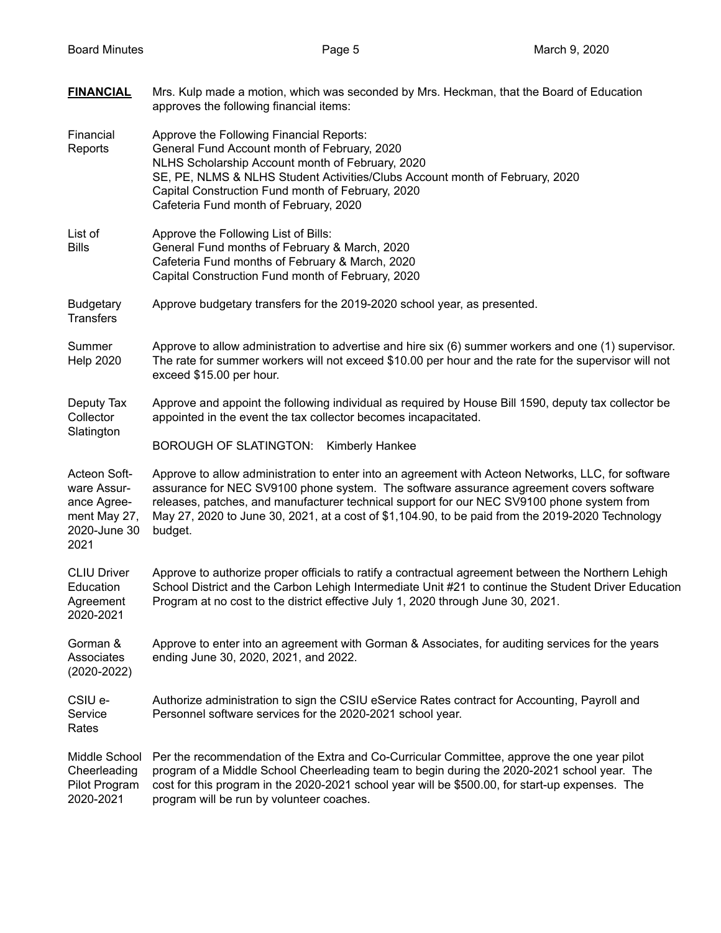| <b>FINANCIAL</b>                                                                   | Mrs. Kulp made a motion, which was seconded by Mrs. Heckman, that the Board of Education<br>approves the following financial items:                                                                                                                                                                                                                                                                        |  |  |
|------------------------------------------------------------------------------------|------------------------------------------------------------------------------------------------------------------------------------------------------------------------------------------------------------------------------------------------------------------------------------------------------------------------------------------------------------------------------------------------------------|--|--|
| Financial<br>Reports                                                               | Approve the Following Financial Reports:<br>General Fund Account month of February, 2020<br>NLHS Scholarship Account month of February, 2020<br>SE, PE, NLMS & NLHS Student Activities/Clubs Account month of February, 2020<br>Capital Construction Fund month of February, 2020<br>Cafeteria Fund month of February, 2020                                                                                |  |  |
| List of<br><b>Bills</b>                                                            | Approve the Following List of Bills:<br>General Fund months of February & March, 2020<br>Cafeteria Fund months of February & March, 2020<br>Capital Construction Fund month of February, 2020                                                                                                                                                                                                              |  |  |
| <b>Budgetary</b><br><b>Transfers</b>                                               | Approve budgetary transfers for the 2019-2020 school year, as presented.                                                                                                                                                                                                                                                                                                                                   |  |  |
| Summer<br><b>Help 2020</b>                                                         | Approve to allow administration to advertise and hire six (6) summer workers and one (1) supervisor.<br>The rate for summer workers will not exceed \$10.00 per hour and the rate for the supervisor will not<br>exceed \$15.00 per hour.                                                                                                                                                                  |  |  |
| Deputy Tax<br>Collector<br>Slatington                                              | Approve and appoint the following individual as required by House Bill 1590, deputy tax collector be<br>appointed in the event the tax collector becomes incapacitated.                                                                                                                                                                                                                                    |  |  |
|                                                                                    | <b>BOROUGH OF SLATINGTON:</b><br><b>Kimberly Hankee</b>                                                                                                                                                                                                                                                                                                                                                    |  |  |
| Acteon Soft-<br>ware Assur-<br>ance Agree-<br>ment May 27,<br>2020-June 30<br>2021 | Approve to allow administration to enter into an agreement with Acteon Networks, LLC, for software<br>assurance for NEC SV9100 phone system. The software assurance agreement covers software<br>releases, patches, and manufacturer technical support for our NEC SV9100 phone system from<br>May 27, 2020 to June 30, 2021, at a cost of \$1,104.90, to be paid from the 2019-2020 Technology<br>budget. |  |  |
| <b>CLIU Driver</b><br>Education<br>Agreement<br>2020-2021                          | Approve to authorize proper officials to ratify a contractual agreement between the Northern Lehigh<br>School District and the Carbon Lehigh Intermediate Unit #21 to continue the Student Driver Education<br>Program at no cost to the district effective July 1, 2020 through June 30, 2021.                                                                                                            |  |  |
| Gorman &<br>Associates<br>$(2020 - 2022)$                                          | Approve to enter into an agreement with Gorman & Associates, for auditing services for the years<br>ending June 30, 2020, 2021, and 2022.                                                                                                                                                                                                                                                                  |  |  |
| CSIU e-<br>Service<br>Rates                                                        | Authorize administration to sign the CSIU eService Rates contract for Accounting, Payroll and<br>Personnel software services for the 2020-2021 school year.                                                                                                                                                                                                                                                |  |  |
| Middle School<br>Cheerleading<br>Pilot Program<br>2020-2021                        | Per the recommendation of the Extra and Co-Curricular Committee, approve the one year pilot<br>program of a Middle School Cheerleading team to begin during the 2020-2021 school year. The<br>cost for this program in the 2020-2021 school year will be \$500.00, for start-up expenses. The<br>program will be run by volunteer coaches.                                                                 |  |  |